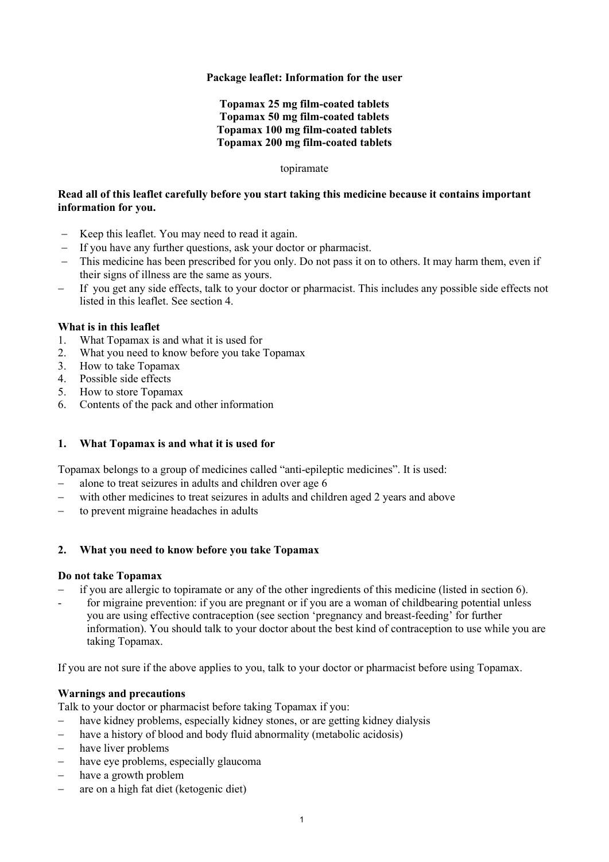### **Package leaflet: Information for the user**

### **Topamax 25 mg film-coated tablets Topamax 50 mg film-coated tablets Topamax 100 mg film-coated tablets Topamax 200 mg film-coated tablets**

#### topiramate

### **Read all of this leaflet carefully before you start taking this medicine because it contains important information for you.**

- Keep this leaflet. You may need to read it again.
- If you have any further questions, ask your doctor or pharmacist.
- This medicine has been prescribed for you only. Do not pass it on to others. It may harm them, even if their signs of illness are the same as yours.
- If you get any side effects, talk to your doctor or pharmacist. This includes any possible side effects not listed in this leaflet. See section 4.

#### **What is in this leaflet**

- 1. What Topamax is and what it is used for
- 2. What you need to know before you take Topamax
- 3. How to take Topamax
- 4. Possible side effects
- 5. How to store Topamax
- 6. Contents of the pack and other information

# **1. What Topamax is and what it is used for**

Topamax belongs to a group of medicines called "anti-epileptic medicines". It is used:

- alone to treat seizures in adults and children over age 6
- with other medicines to treat seizures in adults and children aged 2 years and above
- to prevent migraine headaches in adults

#### **2. What you need to know before you take Topamax**

#### **Do not take Topamax**

- if you are allergic to topiramate or any of the other ingredients of this medicine (listed in section 6).
- for migraine prevention: if you are pregnant or if you are a woman of childbearing potential unless you are using effective contraception (see section 'pregnancy and breast-feeding' for further information). You should talk to your doctor about the best kind of contraception to use while you are taking Topamax.

If you are not sure if the above applies to you, talk to your doctor or pharmacist before using Topamax.

#### **Warnings and precautions**

Talk to your doctor or pharmacist before taking Topamax if you:

- have kidney problems, especially kidney stones, or are getting kidney dialysis
- have a history of blood and body fluid abnormality (metabolic acidosis)
- have liver problems
- have eye problems, especially glaucoma
- have a growth problem
- are on a high fat diet (ketogenic diet)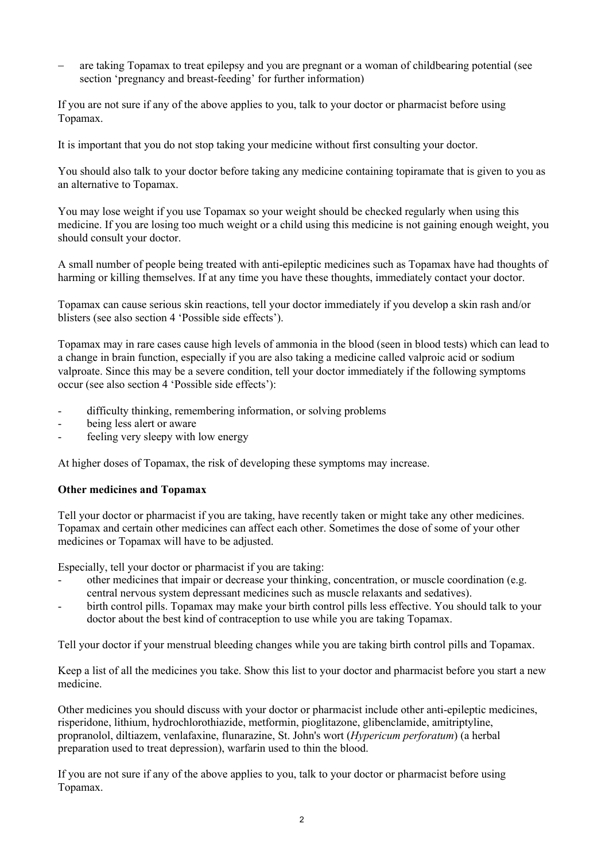are taking Topamax to treat epilepsy and you are pregnant or a woman of childbearing potential (see section 'pregnancy and breast-feeding' for further information)

If you are not sure if any of the above applies to you, talk to your doctor or pharmacist before using Topamax.

It is important that you do not stop taking your medicine without first consulting your doctor.

You should also talk to your doctor before taking any medicine containing topiramate that is given to you as an alternative to Topamax.

You may lose weight if you use Topamax so your weight should be checked regularly when using this medicine. If you are losing too much weight or a child using this medicine is not gaining enough weight, you should consult your doctor.

A small number of people being treated with anti-epileptic medicines such as Topamax have had thoughts of harming or killing themselves. If at any time you have these thoughts, immediately contact your doctor.

Topamax can cause serious skin reactions, tell your doctor immediately if you develop a skin rash and/or blisters (see also section 4 'Possible side effects').

Topamax may in rare cases cause high levels of ammonia in the blood (seen in blood tests) which can lead to a change in brain function, especially if you are also taking a medicine called valproic acid or sodium valproate. Since this may be a severe condition, tell your doctor immediately if the following symptoms occur (see also section 4 'Possible side effects'):

- difficulty thinking, remembering information, or solving problems
- being less alert or aware
- feeling very sleepy with low energy

At higher doses of Topamax, the risk of developing these symptoms may increase.

#### **Other medicines and Topamax**

Tell your doctor or pharmacist if you are taking, have recently taken or might take any other medicines. Topamax and certain other medicines can affect each other. Sometimes the dose of some of your other medicines or Topamax will have to be adjusted.

Especially, tell your doctor or pharmacist if you are taking:

- other medicines that impair or decrease your thinking, concentration, or muscle coordination (e.g. central nervous system depressant medicines such as muscle relaxants and sedatives).
- birth control pills. Topamax may make your birth control pills less effective. You should talk to your doctor about the best kind of contraception to use while you are taking Topamax.

Tell your doctor if your menstrual bleeding changes while you are taking birth control pills and Topamax.

Keep a list of all the medicines you take. Show this list to your doctor and pharmacist before you start a new medicine.

Other medicines you should discuss with your doctor or pharmacist include other anti-epileptic medicines, risperidone, lithium, hydrochlorothiazide, metformin, pioglitazone, glibenclamide, amitriptyline, propranolol, diltiazem, venlafaxine, flunarazine, St. John's wort (*Hypericum perforatum*) (a herbal preparation used to treat depression), warfarin used to thin the blood.

If you are not sure if any of the above applies to you, talk to your doctor or pharmacist before using Topamax.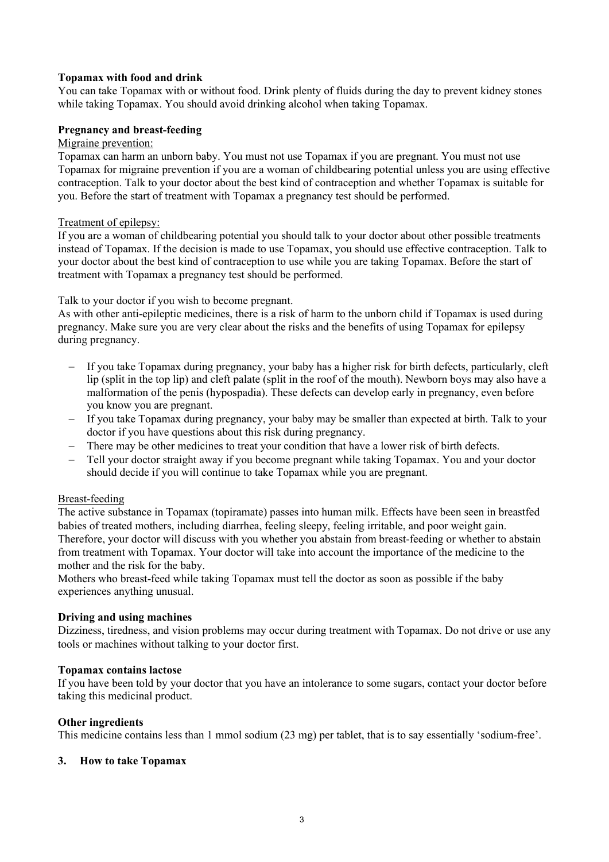### **Topamax with food and drink**

You can take Topamax with or without food. Drink plenty of fluids during the day to prevent kidney stones while taking Topamax. You should avoid drinking alcohol when taking Topamax.

### **Pregnancy and breast-feeding**

### Migraine prevention:

Topamax can harm an unborn baby. You must not use Topamax if you are pregnant. You must not use Topamax for migraine prevention if you are a woman of childbearing potential unless you are using effective contraception. Talk to your doctor about the best kind of contraception and whether Topamax is suitable for you. Before the start of treatment with Topamax a pregnancy test should be performed.

#### Treatment of epilepsy:

If you are a woman of childbearing potential you should talk to your doctor about other possible treatments instead of Topamax. If the decision is made to use Topamax, you should use effective contraception. Talk to your doctor about the best kind of contraception to use while you are taking Topamax. Before the start of treatment with Topamax a pregnancy test should be performed.

Talk to your doctor if you wish to become pregnant.

As with other anti-epileptic medicines, there is a risk of harm to the unborn child if Topamax is used during pregnancy. Make sure you are very clear about the risks and the benefits of using Topamax for epilepsy during pregnancy.

- If you take Topamax during pregnancy, your baby has a higher risk for birth defects, particularly, cleft lip (split in the top lip) and cleft palate (split in the roof of the mouth). Newborn boys may also have a malformation of the penis (hypospadia). These defects can develop early in pregnancy, even before you know you are pregnant.
- If you take Topamax during pregnancy, your baby may be smaller than expected at birth. Talk to your doctor if you have questions about this risk during pregnancy.
- There may be other medicines to treat your condition that have a lower risk of birth defects.
- Tell your doctor straight away if you become pregnant while taking Topamax. You and your doctor should decide if you will continue to take Topamax while you are pregnant.

#### Breast-feeding

The active substance in Topamax (topiramate) passes into human milk. Effects have been seen in breastfed babies of treated mothers, including diarrhea, feeling sleepy, feeling irritable, and poor weight gain. Therefore, your doctor will discuss with you whether you abstain from breast-feeding or whether to abstain from treatment with Topamax. Your doctor will take into account the importance of the medicine to the mother and the risk for the baby.

Mothers who breast-feed while taking Topamax must tell the doctor as soon as possible if the baby experiences anything unusual.

#### **Driving and using machines**

Dizziness, tiredness, and vision problems may occur during treatment with Topamax. Do not drive or use any tools or machines without talking to your doctor first.

#### **Topamax contains lactose**

If you have been told by your doctor that you have an intolerance to some sugars, contact your doctor before taking this medicinal product.

#### **Other ingredients**

This medicine contains less than 1 mmol sodium (23 mg) per tablet, that is to say essentially 'sodium-free'.

#### **3. How to take Topamax**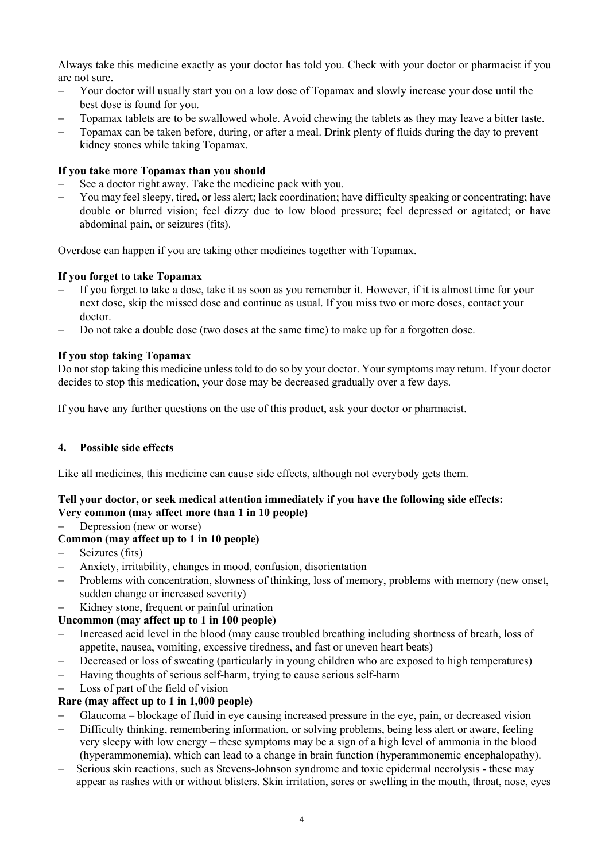Always take this medicine exactly as your doctor has told you. Check with your doctor or pharmacist if you are not sure.

- Your doctor will usually start you on a low dose of Topamax and slowly increase your dose until the best dose is found for you.
- Topamax tablets are to be swallowed whole. Avoid chewing the tablets as they may leave a bitter taste.
- Topamax can be taken before, during, or after a meal. Drink plenty of fluids during the day to prevent kidney stones while taking Topamax.

# **If you take more Topamax than you should**

- See a doctor right away. Take the medicine pack with you.
- You may feel sleepy, tired, or less alert; lack coordination; have difficulty speaking or concentrating; have double or blurred vision; feel dizzy due to low blood pressure; feel depressed or agitated; or have abdominal pain, or seizures (fits).

Overdose can happen if you are taking other medicines together with Topamax.

# **If you forget to take Topamax**

- If you forget to take a dose, take it as soon as you remember it. However, if it is almost time for your next dose, skip the missed dose and continue as usual. If you miss two or more doses, contact your doctor.
- Do not take a double dose (two doses at the same time) to make up for a forgotten dose.

### **If you stop taking Topamax**

Do not stop taking this medicine unless told to do so by your doctor. Your symptoms may return. If your doctor decides to stop this medication, your dose may be decreased gradually over a few days.

If you have any further questions on the use of this product, ask your doctor or pharmacist.

# **4. Possible side effects**

Like all medicines, this medicine can cause side effects, although not everybody gets them.

# **Tell your doctor, or seek medical attention immediately if you have the following side effects: Very common (may affect more than 1 in 10 people)**

Depression (new or worse)

# **Common (may affect up to 1 in 10 people)**

- Seizures (fits)
- Anxiety, irritability, changes in mood, confusion, disorientation
- Problems with concentration, slowness of thinking, loss of memory, problems with memory (new onset, sudden change or increased severity)
- Kidney stone, frequent or painful urination

# **Uncommon (may affect up to 1 in 100 people)**

- Increased acid level in the blood (may cause troubled breathing including shortness of breath, loss of appetite, nausea, vomiting, excessive tiredness, and fast or uneven heart beats)
- Decreased or loss of sweating (particularly in young children who are exposed to high temperatures)
- Having thoughts of serious self-harm, trying to cause serious self-harm
- Loss of part of the field of vision

# **Rare (may affect up to 1 in 1,000 people)**

- Glaucoma blockage of fluid in eye causing increased pressure in the eye, pain, or decreased vision
- Difficulty thinking, remembering information, or solving problems, being less alert or aware, feeling very sleepy with low energy – these symptoms may be a sign of a high level of ammonia in the blood (hyperammonemia), which can lead to a change in brain function (hyperammonemic encephalopathy).
- Serious skin reactions, such as Stevens-Johnson syndrome and toxic epidermal necrolysis these may appear as rashes with or without blisters. Skin irritation, sores or swelling in the mouth, throat, nose, eyes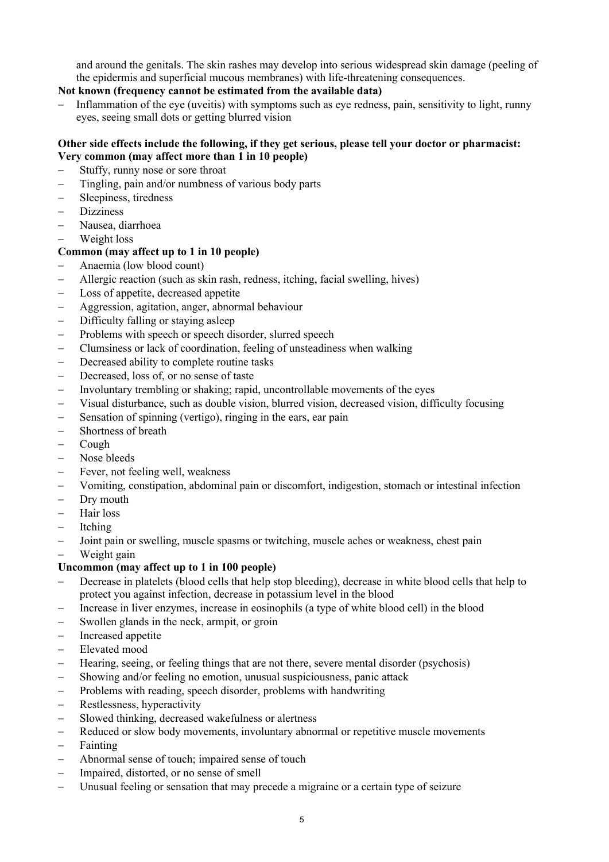and around the genitals. The skin rashes may develop into serious widespread skin damage (peeling of the epidermis and superficial mucous membranes) with life-threatening consequences.

# **Not known (frequency cannot be estimated from the available data)**

 Inflammation of the eye (uveitis) with symptoms such as eye redness, pain, sensitivity to light, runny eyes, seeing small dots or getting blurred vision

# **Other side effects include the following, if they get serious, please tell your doctor or pharmacist: Very common (may affect more than 1 in 10 people)**

- Stuffy, runny nose or sore throat
- Tingling, pain and/or numbness of various body parts
- Sleepiness, tiredness
- Dizziness
- Nausea, diarrhoea
- Weight loss

# **Common (may affect up to 1 in 10 people)**

- Anaemia (low blood count)
- Allergic reaction (such as skin rash, redness, itching, facial swelling, hives)
- Loss of appetite, decreased appetite
- Aggression, agitation, anger, abnormal behaviour
- Difficulty falling or staying asleep
- Problems with speech or speech disorder, slurred speech
- Clumsiness or lack of coordination, feeling of unsteadiness when walking
- Decreased ability to complete routine tasks
- Decreased, loss of, or no sense of taste
- Involuntary trembling or shaking; rapid, uncontrollable movements of the eyes
- Visual disturbance, such as double vision, blurred vision, decreased vision, difficulty focusing
- Sensation of spinning (vertigo), ringing in the ears, ear pain
- Shortness of breath
- Cough
- Nose bleeds
- Fever, not feeling well, weakness
- Vomiting, constipation, abdominal pain or discomfort, indigestion, stomach or intestinal infection
- Dry mouth
- Hair loss
- Itching
- Joint pain or swelling, muscle spasms or twitching, muscle aches or weakness, chest pain
- Weight gain

# **Uncommon (may affect up to 1 in 100 people)**

- Decrease in platelets (blood cells that help stop bleeding), decrease in white blood cells that help to protect you against infection, decrease in potassium level in the blood
- Increase in liver enzymes, increase in eosinophils (a type of white blood cell) in the blood
- Swollen glands in the neck, armpit, or groin
- Increased appetite
- Elevated mood
- Hearing, seeing, or feeling things that are not there, severe mental disorder (psychosis)
- Showing and/or feeling no emotion, unusual suspiciousness, panic attack
- Problems with reading, speech disorder, problems with handwriting
- Restlessness, hyperactivity
- Slowed thinking, decreased wakefulness or alertness
- Reduced or slow body movements, involuntary abnormal or repetitive muscle movements
- $-$  Fainting
- Abnormal sense of touch; impaired sense of touch
- Impaired, distorted, or no sense of smell
- Unusual feeling or sensation that may precede a migraine or a certain type of seizure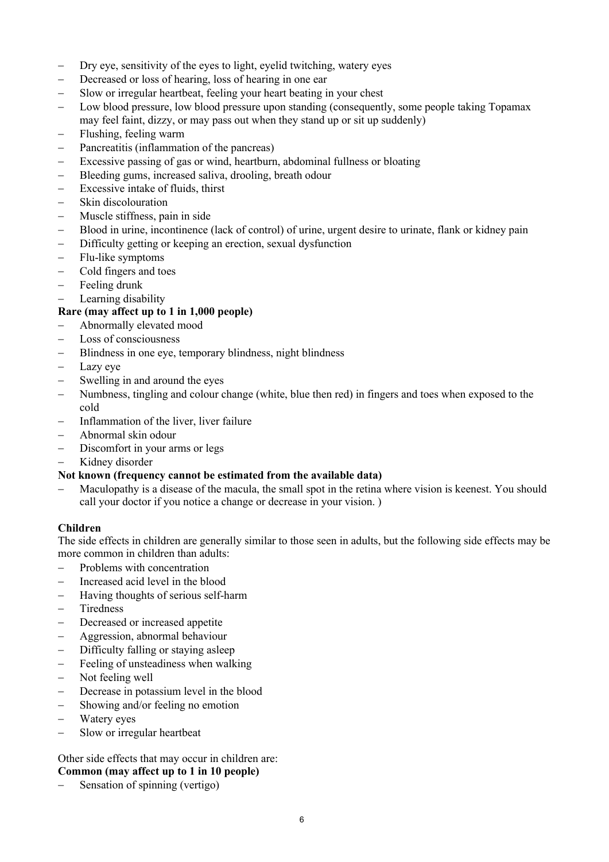- Dry eye, sensitivity of the eyes to light, eyelid twitching, watery eyes
- Decreased or loss of hearing, loss of hearing in one ear
- Slow or irregular heartbeat, feeling your heart beating in your chest
- Low blood pressure, low blood pressure upon standing (consequently, some people taking Topamax may feel faint, dizzy, or may pass out when they stand up or sit up suddenly)
- Flushing, feeling warm
- Pancreatitis (inflammation of the pancreas)
- Excessive passing of gas or wind, heartburn, abdominal fullness or bloating
- Bleeding gums, increased saliva, drooling, breath odour
- Excessive intake of fluids, thirst
- Skin discolouration
- Muscle stiffness, pain in side
- Blood in urine, incontinence (lack of control) of urine, urgent desire to urinate, flank or kidney pain
- Difficulty getting or keeping an erection, sexual dysfunction
- Flu-like symptoms
- Cold fingers and toes
- Feeling drunk
- Learning disability

# **Rare (may affect up to 1 in 1,000 people)**

- Abnormally elevated mood
- Loss of consciousness
- Blindness in one eye, temporary blindness, night blindness
- Lazy eye
- Swelling in and around the eyes
- Numbness, tingling and colour change (white, blue then red) in fingers and toes when exposed to the cold
- $-Inflammation of the liver, liver failure$
- Abnormal skin odour
- Discomfort in your arms or legs
- Kidney disorder

### **Not known (frequency cannot be estimated from the available data)**

 Maculopathy is a disease of the macula, the small spot in the retina where vision is keenest. You should call your doctor if you notice a change or decrease in your vision. )

#### **Children**

The side effects in children are generally similar to those seen in adults, but the following side effects may be more common in children than adults:

- Problems with concentration
- Increased acid level in the blood
- Having thoughts of serious self-harm
- Tiredness
- Decreased or increased appetite
- Aggression, abnormal behaviour
- Difficulty falling or staying asleep
- Feeling of unsteadiness when walking
- Not feeling well
- Decrease in potassium level in the blood
- Showing and/or feeling no emotion
- Watery eyes
- Slow or irregular heartbeat

# Other side effects that may occur in children are:

# **Common (may affect up to 1 in 10 people)**

Sensation of spinning (vertigo)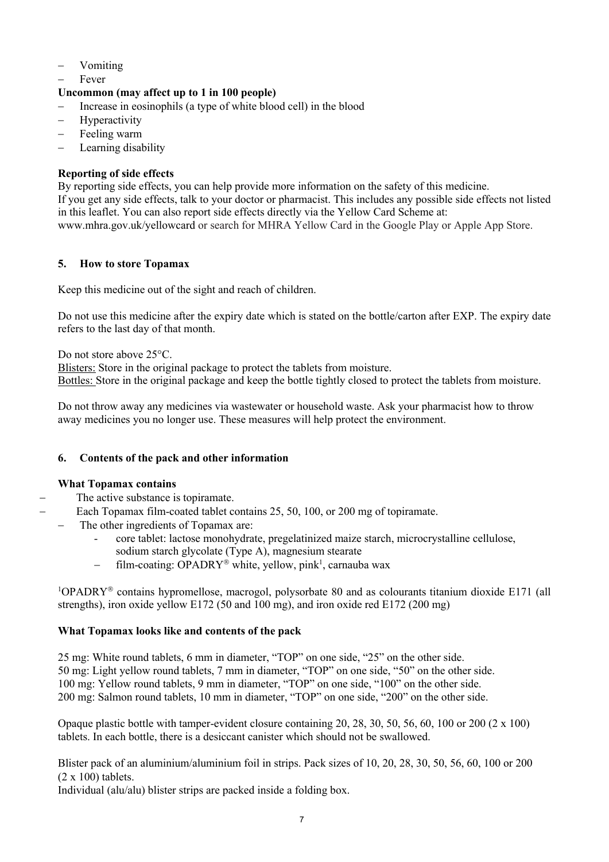- Vomiting
- Fever

# **Uncommon (may affect up to 1 in 100 people)**

- Increase in eosinophils (a type of white blood cell) in the blood
- Hyperactivity
- Feeling warm
- Learning disability

# **Reporting of side effects**

By reporting side effects, you can help provide more information on the safety of this medicine. If you get any side effects, talk to your doctor or pharmacist. This includes any possible side effects not listed in this leaflet. You can also report side effects directly via the Yellow Card Scheme at: www.mhra.gov.uk/yellowcard or search for MHRA Yellow Card in the Google Play or Apple App Store.

# **5. How to store Topamax**

Keep this medicine out of the sight and reach of children.

Do not use this medicine after the expiry date which is stated on the bottle/carton after EXP. The expiry date refers to the last day of that month.

Do not store above 25<sup>o</sup>C.

Blisters: Store in the original package to protect the tablets from moisture. Bottles: Store in the original package and keep the bottle tightly closed to protect the tablets from moisture.

Do not throw away any medicines via wastewater or household waste. Ask your pharmacist how to throw away medicines you no longer use. These measures will help protect the environment.

# **6. Contents of the pack and other information**

# **What Topamax contains**

The active substance is topiramate.

- Each Topamax film-coated tablet contains 25, 50, 100, or 200 mg of topiramate.
- The other ingredients of Topamax are:
	- core tablet: lactose monohydrate, pregelatinized maize starch, microcrystalline cellulose, sodium starch glycolate (Type A), magnesium stearate
	- film-coating: OPADRY<sup>®</sup> white, yellow, pink<sup>1</sup>, carnauba wax

 $1$ OPADRY<sup>®</sup> contains hypromellose, macrogol, polysorbate 80 and as colourants titanium dioxide E171 (all strengths), iron oxide yellow E172 (50 and 100 mg), and iron oxide red E172 (200 mg)

# **What Topamax looks like and contents of the pack**

 mg: White round tablets, 6 mm in diameter, "TOP" on one side, "25" on the other side. mg: Light yellow round tablets, 7 mm in diameter, "TOP" on one side, "50" on the other side. mg: Yellow round tablets, 9 mm in diameter, "TOP" on one side, "100" on the other side. mg: Salmon round tablets, 10 mm in diameter, "TOP" on one side, "200" on the other side.

Opaque plastic bottle with tamper-evident closure containing 20, 28, 30, 50, 56, 60, 100 or 200 (2 x 100) tablets. In each bottle, there is a desiccant canister which should not be swallowed.

Blister pack of an aluminium/aluminium foil in strips. Pack sizes of 10, 20, 28, 30, 50, 56, 60, 100 or 200  $(2 \times 100)$  tablets.

Individual (alu/alu) blister strips are packed inside a folding box.